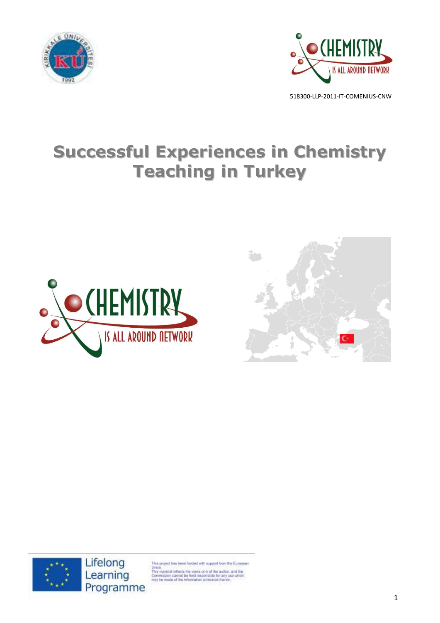



# **Successful Experiences in Chemistry Teaching in Turkey**







is project has been funded with support from the European

Union.<br>This material reflects the views only of the author, and the<br>Commission cannot be held responsible for any use which<br>may be made of the information contained therein.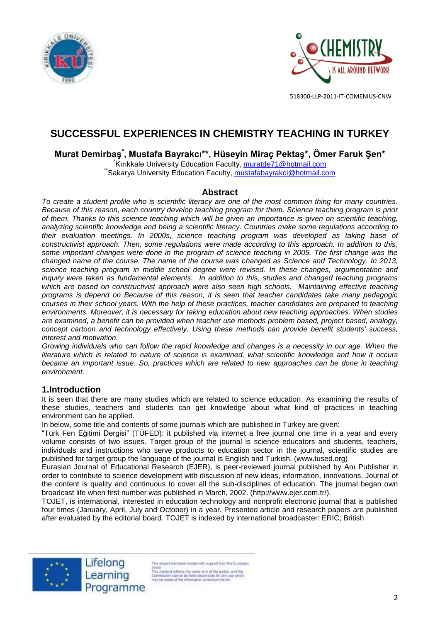



# **SUCCESSFUL EXPERIENCES IN CHEMISTRY TEACHING IN TURKEY**

**Murat Demirbaş\* , Mustafa Bayrakcı\*\*, Hüseyin Miraç Pektaş\*, Ömer Faruk Şen\***

**Kırıkkale University Education Faculty, [muratde71@hotmail.com](mailto:muratde71@hotmail.com)** \*Sakarya University Education Faculty, [mustafabayrakci@hotmail.com](mailto:mustafabayrakci@hotmail.com)

#### **Abstract**

*To create a student profile who is scientific literacy are one of the most common thing for many countries. Because of this reason, each country develop teaching program for them. Science teaching program is prior of them. Thanks to this science teaching which will be given an importance is given on scientific teaching, analyzing scientific knowledge and being a scientific literacy. Countries make some regulations according to their evaluation meetings. In 2000s, science teaching program was developed as taking base of constructivist approach. Then, some regulations were made according to this approach. In addition to this, some important changes were done in the program of science teaching in 2005. The first change was the changed name of the course. The name of the course was changed as Science and Technology. In 2013, science teaching program in middle school degree were revised. In these changes, argumentation and inquiry were taken as fundamental elements. In addition to this, studies and changed teaching programs which are based on constructivist approach were also seen high schools. Maintaining effective teaching programs is depend on Because of this reason, it is seen that teacher candidates take many pedagogic courses in their school years. With the help of these practices, teacher candidates are prepared to teaching environments. Moreover, it is necessary for taking education about new teaching approaches. When studies are examined, a benefit can be provided when teacher use methods problem based, project based, analogy, concept cartoon and technology effectively. Using these methods can provide benefit students' success, interest and motivation.*

*Growing individuals who can follow the rapid knowledge and changes is a necessity in our age. When the literature which is related to nature of science is examined, what scientific knowledge and how it occurs became an important issue. So, practices which are related to new approaches can be done in teaching environment.*

#### **1.Introduction**

It is seen that there are many studies which are related to science education. As examining the results of these studies, teachers and students can get knowledge about what kind of practices in teaching environment can be applied.

In below, some title and contents of some journals which are published in Turkey are given:

"Türk Fen Eğitimi Dergisi" (TÜFED): it published via internet a free journal one time in a year and every volume consists of two issues. Target group of the journal is science educators and students, teachers, individuals and instructions who serve products to education sector in the journal, scientific studies are published for target group the language of the journal is English and Turkish. [\(www.tused.org\)](http://www.tused.org/)

Eurasian Journal of Educational Research (EJER), is peer-reviewed journal published by Anı Publisher in order to contribute to science development with discussion of new ideas, information, innovations. Journal of the content is quality and continuous to cover all the sub-disciplines of education. The journal began own broadcast life when first number was published in March, 2002. [\(http://www.ejer.com.tr/\)](http://www.ejer.com.tr/).

TOJET, is international, interested in education technology and nonprofit electronic journal that is published four times (January, April, July and October) in a year. Presented article and research papers are published after evaluated by the editorial board. TOJET is indexed by international broadcaster: ERIC, British

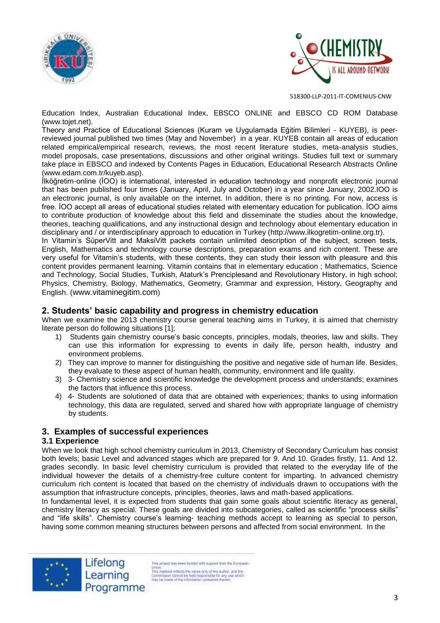



Education Index, Australian Educational Index, EBSCO ONLINE and EBSCO CD ROM Database [\(www.tojet.net\)](http://www.tojet.net/).

Theory and Practice of Educational Sciences (Kuram ve Uygulamada Eğitim Bilimleri - KUYEB), is peerreviewed journal published two times (May and November) in a year. KUYEB contain all areas of education related empirical/empirical research, reviews, the most recent literature studies, meta-analysis studies, model proposals, case presentations, discussions and other original writings. Studies full text or summary take place in EBSCO and indexed by Contents Pages in Education, Educational Research Abstracts Online [\(www.edam.com.tr/kuyeb.asp\)](http://www.edam.com.tr/kuyeb.asp).

İlköğretim-online (İOO) is international, interested in education technology and nonprofit electronic journal that has been published four times (January, April, July and October) in a year since January, 2002.IOO is an electronic journal, is only available on the internet. In addition, there is no printing. For now, access is free. İOO accept all areas of educational studies related with elementary education for publication. İOO aims to contribute production of knowledge about this field and disseminate the studies about the knowledge, theories, teaching qualifications, and any instructional design and technology about elementary education in disciplinary and / or interdisciplinary approach to education in Turkey [\(http://www.ilkogretim-online.org.tr\)](http://www.ilkogretim-online.org.tr/).

In Vitamin's SüperVitt and MaksiVitt packets contain unlimited description of the subject, screen tests, English, Mathematics and technology course descriptions, preparation exams and rich content. These are very useful for Vitamin's students, with these contents, they can study their lesson with pleasure and this content provides permanent learning. Vitamin contains that in elementary education ; Mathematics, Science and Technology, Social Studies, Turkish, Ataturk's Prenciplesand and Revolutionary History, in high school; Physics, Chemistry, Biology, Mathematics, Geometry, Grammar and expression, History, Geography and English. ([www.vitaminegitim.com](http://www.vitaminegitim.com/))

#### **2. Students' basic capability and progress in chemistry education**

When we examine the 2013 chemistry course general teaching aims in Turkey, it is aimed that chemistry literate person do following situations [1];

- 1) Students gain chemistry course's basic concepts, principles, modals, theories, law and skills. They can use this information for expressing to events in daily life, person health, industry and environment problems.
- 2) They can improve to manner for distinguishing the positive and negative side of human life. Besides, they evaluate to these aspect of human health, community, environment and life quality.
- 3) 3- Chemistry science and scientific knowledge the development process and understands; examines the factors that influence this process.
- 4) 4- Students are solutioned of data that are obtained with experiences; thanks to using information technology, this data are regulated, served and shared how with appropriate language of chemistry by students.

#### **3. Examples of successful experiences**

#### **3.1 Experience**

When we look that high school chemistry curriculum in 2013, Chemistry of Secondary Curriculum has consist both levels; basic Level and advanced stages which are prepared for 9. And 10. Grades firstly, 11. And 12. grades secondly. In basic level chemistry curriculum is provided that related to the everyday life of the individual however the details of a chemistry-free culture content for imparting. In advanced chemistry curriculum rich content is located that based on the chemistry of individuals drawn to occupations with the assumption that infrastructure concepts, principles, theories, laws and math-based applications.

In fundamental level, it is expected from students that gain some goals about scientific literacy as general, chemistry literacy as special. These goals are divided into subcategories, called as scientific "process skills" and "life skills". Chemistry course's learning- teaching methods accept to learning as special to person, having some common meaning structures between persons and affected from social environment. In the



is project has been funded with support from the European Union.<br>
This material reflects the views only of the author, and the<br>
This material reflects the views only of the author.<br>
Commission cannot be hisld responsible for any use which<br>
may be made of the information contained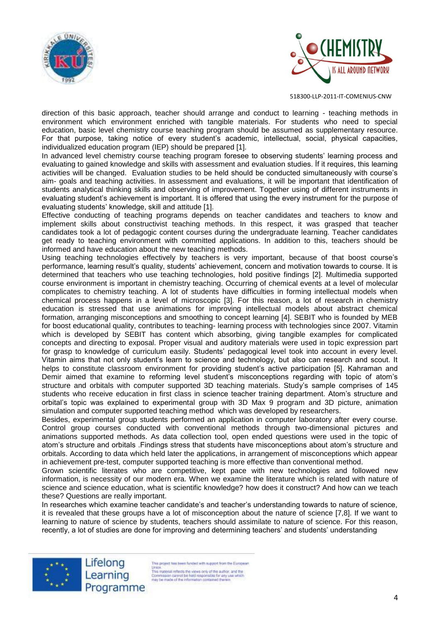



direction of this basic approach, teacher should arrange and conduct to learning - teaching methods in environment which environment enriched with tangible materials. For students who need to special education, basic level chemistry course teaching program should be assumed as supplementary resource. For that purpose, taking notice of every student's academic, intellectual, social, physical capacities, individualized education program (IEP) should be prepared [1].

In advanced level chemistry course teaching program foresee to observing students' learning process and evaluating to gained knowledge and skills with assessment and evaluation studies. İf it requires, this learning activities will be changed. Evaluation studies to be held should be conducted simultaneously with course's aim- goals and teaching activities. In assessment and evaluations, it will be important that identification of students analytical thinking skills and observing of improvement. Together using of different instruments in evaluating student's achievement is important. It is offered that using the every instrument for the purpose of evaluating students' knowledge, skill and attitude [1].

Effective conducting of teaching programs depends on teacher candidates and teachers to know and implement skills about constructivist teaching methods. In this respect, it was grasped that teacher candidates took a lot of pedagogic content courses during the undergraduate learning. Teacher candidates get ready to teaching environment with committed applications. In addition to this, teachers should be informed and have education about the new teaching methods.

Using teaching technologies effectively by teachers is very important, because of that boost course's performance, learning result's quality, students' achievement, concern and motivation towards to course. It is determined that teachers who use teaching technologies, hold positive findings [2]. Multimedia supported course environment is important in chemistry teaching. Occurring of chemical events at a level of molecular complicates to chemistry teaching. A lot of students have difficulties in forming intellectual models when chemical process happens in a level of microscopic [3]. For this reason, a lot of research in chemistry education is stressed that use animations for improving intellectual models about abstract chemical formation, arranging misconceptions and smoothing to concept learning [4]. SEBIT who is founded by MEB for boost educational quality, contributes to teaching- learning process with technologies since 2007. Vitamin which is developed by SEBIT has content which absorbing, giving tangible examples for complicated concepts and directing to exposal. Proper visual and auditory materials were used in topic expression part for grasp to knowledge of curriculum easily. Students' pedagogical level took into account in every level. Vitamin aims that not only student's learn to science and technology, but also can research and scout. It helps to constitute classroom environment for providing student's active participation [5]. Kahraman and Demir aimed that examine to reforming level student's misconceptions regarding with topic of atom's structure and orbitals with computer supported 3D teaching materials. Study's sample comprises of 145 students who receive education in first class in science teacher training department. Atom's structure and orbital's topic was explained to experimental group with 3D Max 9 program and 3D picture, animation simulation and computer supported teaching method which was developed by researchers.

Besides, experimental group students performed an application in computer laboratory after every course. Control group courses conducted with conventional methods through two-dimensional pictures and animations supported methods. As data collection tool, open ended questions were used in the topic of atom's structure and orbitals .Findings stress that students have misconceptions about atom's structure and orbitals. According to data which held later the applications, in arrangement of misconceptions which appear in achievement pre-test, computer supported teaching is more effective than conventional method.

Grown scientific literates who are competitive, kept pace with new technologies and followed new information, is necessity of our modern era. When we examine the literature which is related with nature of science and science education, what is scientific knowledge? how does it construct? And how can we teach these? Questions are really important.

In researches which examine teacher candidate's and teacher's understanding towards to nature of science, it is revealed that these groups have a lot of misconception about the nature of science [7,8]. If we want to learning to nature of science by students, teachers should assimilate to nature of science. For this reason, recently, a lot of studies are done for improving and determining teachers' and students' understanding



Lifelong Learning Programme

is project has been funded with support from the European Union.<br>
This material reflects the views only of the author, and the<br>
This material reflects the views only of the author.<br>
Commission cannot be hisld responsible for any use which<br>
may be made of the information contained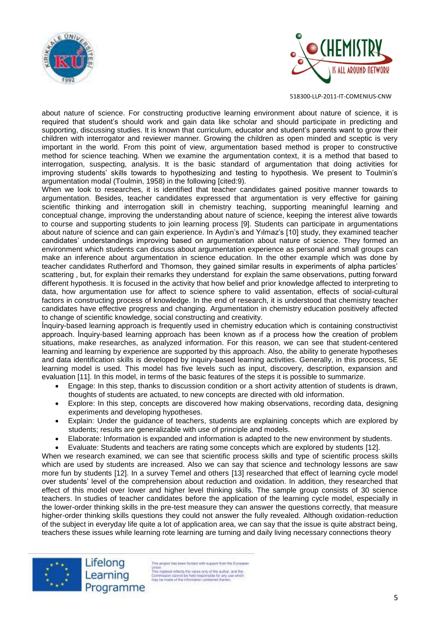



about nature of science. For constructing productive learning environment about nature of science, it is required that student's should work and gain data like scholar and should participate in predicting and supporting, discussing studies. It is known that curriculum, educator and student's parents want to grow their children with interrogator and reviewer manner. Growing the children as open minded and sceptic is very important in the world. From this point of view, argumentation based method is proper to constructive method for science teaching. When we examine the argumentation context, it is a method that based to interrogation, suspecting, analysis. It is the basic standard of argumentation that doing activities for improving students' skills towards to hypothesizing and testing to hypothesis. We present to Toulmin's argumentation modal (Toulmin, 1958) in the following [cited:9).

When we look to researches, it is identified that teacher candidates gained positive manner towards to argumentation. Besides, teacher candidates expressed that argumentation is very effective for gaining scientific thinking and interrogation skill in chemistry teaching, supporting meaningful learning and conceptual change, improving the understanding about nature of science, keeping the interest alive towards to course and supporting students to join learning process [9]. Students can participate in argumentations about nature of science and can gain experience. In Aydın's and Yılmaz's [10] study, they examined teacher candidates' understandings improving based on argumentation about nature of science. They formed an environment which students can discuss about argumentation experience as personal and small groups can make an inference about argumentation in science education. In the other example which was done by teacher candidates Rutherford and Thomson, they gained similar results in experiments of alpha particles' scattering , but, for explain their remarks they understand for explain the same observations, putting forward different hypothesis. It is focused in the activity that how belief and prior knowledge affected to interpreting to data, how argumentation use for affect to science sphere to valid assentation, effects of social-cultural factors in constructing process of knowledge. In the end of research, it is understood that chemistry teacher candidates have effective progress and changing. Argumentation in chemistry education positively affected to change of scientific knowledge, social constructing and creativity.

İnquiry-based learning approach is frequently used in chemistry education which is containing constructivist approach. İnquiry-based learning approach has been known as ıf a process how the creation of problem situations, make researches, as analyzed information. For this reason, we can see that student-centered learning and learning by experience are supported by this approach. Also, the ability to generate hypotheses and data identification skills is developed by inquiry-based learning activities. Generally, in this process, 5E learning model is used. This model has five levels such as input, discovery, description, expansion and evaluation [11]. In this model, in terms of the basic features of the steps it is possible to summarize.

- Engage: In this step, thanks to discussion condition or a short activity attention of students is drawn, thoughts of students are actuated, to new concepts are directed with old information.
- Explore: In this step, concepts are discovered how making observations, recording data, designing experiments and developing hypotheses.
- Explain: Under the guidance of teachers, students are explaining concepts which are explored by students; results are generalizable with use of principle and models.
- Elaborate: Information is expanded and information is adapted to the new environment by students.
- Evaluate: Students and teachers are rating some concepts which are explored by students [12].

When we research examined, we can see that scientific process skills and type of scientific process skills which are used by students are increased. Also we can say that science and technology lessons are saw more fun by students [12]. In a survey Temel and others [13] researched that effect of learning cycle model over students' level of the comprehension about reduction and oxidation. In addition, they researched that effect of this model over lower and higher level thinking skills. The sample group consists of 30 science teachers. In studies of teacher candidates before the application of the learning cycle model, especially in the lower-order thinking skills in the pre-test measure they can answer the questions correctly, that measure higher-order thinking skills questions they could not answer the fully revealed. Although oxidation-reduction of the subject in everyday life quite a lot of application area, we can say that the issue is quite abstract being, teachers these issues while learning rote learning are turning and daily living necessary connections theory



Lifelong Learning Programme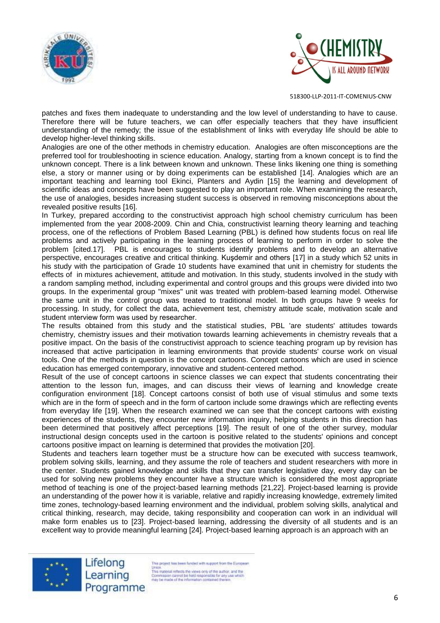



patches and fixes them inadequate to understanding and the low level of understanding to have to cause. Therefore there will be future teachers, we can offer especially teachers that they have insufficient understanding of the remedy; the issue of the establishment of links with everyday life should be able to develop higher-level thinking skills.

Analogies are one of the other methods in chemistry education. Analogies are often misconceptions are the preferred tool for troubleshooting in science education. Analogy, starting from a known concept is to find the unknown concept. There is a link between known and unknown. These links likening one thing is something else, a story or manner using or by doing experiments can be established [14]. Analogies which are an important teaching and learning tool Ekinci, Planters and Aydin [15] the learning and development of scientific ideas and concepts have been suggested to play an important role. When examining the research, the use of analogies, besides increasing student success is observed in removing misconceptions about the revealed positive results [16].

In Turkey, prepared according to the constructivist approach high school chemistry curriculum has been implemented from the year 2008-2009. Chin and Chia, constructivist learning theory learning and teaching process, one of the reflections of Problem Based Learning (PBL) is defined how students focus on real life problems and actively participating in the learning process of learning to perform in order to solve the problem [cited.17]. PBL is encourages to students identify problems and to develop an alternative perspective, encourages creative and critical thinking. Kuşdemir and others [17] in a study which 52 units in his study with the participation of Grade 10 students have examined that unit in chemistry for students the effects of in mixtures achievement, attitude and motivation. In this study, students involved in the study with a random sampling method, including experimental and control groups and this groups were divided into two groups. In the experimental group "mixes" unit was treated with problem-based learning model. Otherwise the same unit in the control group was treated to traditional model. In both groups have 9 weeks for processing. In study, for collect the data, achievement test, chemistry attitude scale, motivation scale and student ınterview form was used by researcher.

The results obtained from this study and the statistical studies, PBL 'are students' attitudes towards chemistry, chemistry issues and their motivation towards learning achievements in chemistry reveals that a positive impact. On the basis of the constructivist approach to science teaching program up by revision has increased that active participation in learning environments that provide students' course work on visual tools. One of the methods in question is the concept cartoons. Concept cartoons which are used in science education has emerged contemporary, innovative and student-centered method.

Result of the use of concept cartoons in science classes we can expect that students concentrating their attention to the lesson fun, images, and can discuss their views of learning and knowledge create configuration environment [18]. Concept cartoons consist of both use of visual stimulus and some texts which are in the form of speech and in the form of cartoon include some drawings which are reflecting events from everyday life [19]. When the research examined we can see that the concept cartoons with existing experiences of the students, they encounter new information inquiry, helping students in this direction has been determined that positively affect perceptions [19]. The result of one of the other survey, modular instructional design concepts used in the cartoon is positive related to the students' opinions and concept cartoons positive impact on learning is determined that provides the motivation [20].

Students and teachers learn together must be a structure how can be executed with success teamwork, problem solving skills, learning, and they assume the role of teachers and student researchers with more in the center. Students gained knowledge and skills that they can transfer legislative day, every day can be used for solving new problems they encounter have a structure which is considered the most appropriate method of teaching is one of the project-based learning methods [21,22]. Project-based learning is provide an understanding of the power how it is variable, relative and rapidly increasing knowledge, extremely limited time zones, technology-based learning environment and the individual, problem solving skills, analytical and critical thinking, research, may decide, taking responsibility and cooperation can work in an individual will make form enables us to [23]. Project-based learning, addressing the diversity of all students and is an excellent way to provide meaningful learning [24]. Project-based learning approach is an approach with an

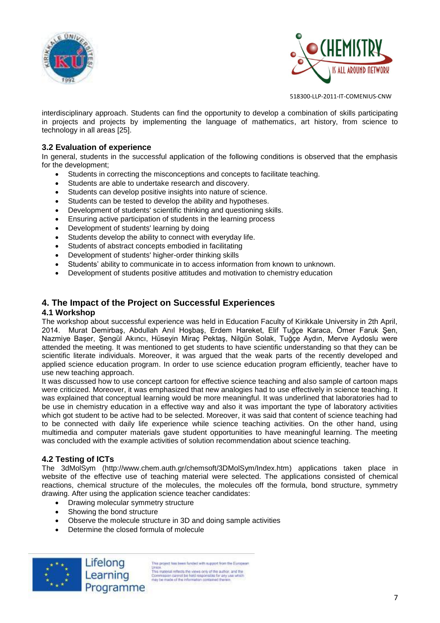



interdisciplinary approach. Students can find the opportunity to develop a combination of skills participating in projects and projects by implementing the language of mathematics, art history, from science to technology in all areas [25].

#### **3.2 Evaluation of experience**

In general, students in the successful application of the following conditions is observed that the emphasis for the development;

- Students in correcting the misconceptions and concepts to facilitate teaching.
- Students are able to undertake research and discovery.
- Students can develop positive insights into nature of science.
- Students can be tested to develop the ability and hypotheses.
- Development of students' scientific thinking and questioning skills.
- Ensuring active participation of students in the learning process
- Development of students' learning by doing
- Students develop the ability to connect with everyday life.
- Students of abstract concepts embodied in facilitating
- Development of students' higher-order thinking skills
- Students' ability to communicate in to access information from known to unknown.
- Development of students positive attitudes and motivation to chemistry education

## **4. The Impact of the Project on Successful Experiences**

#### **4.1 Workshop**

The workshop about successful experience was held in Education Faculty of Kirikkale University in 2th April, 2014. Murat Demirbaş, Abdullah Anıl Hoşbaş, Erdem Hareket, Elif Tuğçe Karaca, Ömer Faruk Şen, Nazmiye Başer, Şengül Akıncı, Hüseyin Miraç Pektaş, Nilgün Solak, Tuğçe Aydın, Merve Aydoslu were attended the meeting. It was mentioned to get students to have scientific understanding so that they can be scientific literate individuals. Moreover, it was argued that the weak parts of the recently developed and applied science education program. In order to use science education program efficiently, teacher have to use new teaching approach.

It was discussed how to use concept cartoon for effective science teaching and also sample of cartoon maps were criticized. Moreover, it was emphasized that new analogies had to use effectively in science teaching. It was explained that conceptual learning would be more meaningful. It was underlined that laboratories had to be use in chemistry education in a effective way and also it was important the type of laboratory activities which got student to be active had to be selected. Moreover, it was said that content of science teaching had to be connected with daily life experience while science teaching activities. On the other hand, using multimedia and computer materials gave student opportunities to have meaningful learning. The meeting was concluded with the example activities of solution recommendation about science teaching.

#### **4.2 Testing of ICTs**

The 3dMolSym [\(http://www.chem.auth.gr/chemsoft/3DMolSym/Index.htm\)](http://www.chem.auth.gr/chemsoft/3DMolSym/Index.htm) applications taken place in website of the effective use of teaching material were selected. The applications consisted of chemical reactions, chemical structure of the molecules, the molecules off the formula, bond structure, symmetry drawing. After using the application science teacher candidates:

- Drawing molecular symmetry structure
- Showing the bond structure
- Observe the molecule structure in 3D and doing sample activities
- Determine the closed formula of molecule

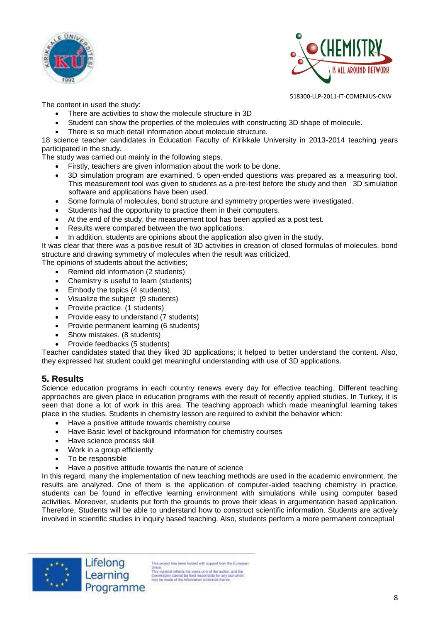



The content in used the study:

- There are activities to show the molecule structure in 3D
- Student can show the properties of the molecules with constructing 3D shape of molecule.
- There is so much detail information about molecule structure.

18 science teacher candidates in Education Faculty of Kirikkale University in 2013-2014 teaching years participated in the study.

The study was carried out mainly in the following steps.

- Firstly, teachers are given information about the work to be done.
- 3D simulation program are examined, 5 open-ended questions was prepared as a measuring tool. This measurement tool was given to students as a pre-test before the study and then 3D simulation software and applications have been used.
- Some formula of molecules, bond structure and symmetry properties were investigated.
- Students had the opportunity to practice them in their computers.
- At the end of the study, the measurement tool has been applied as a post test.
- Results were compared between the two applications.
- In addition, students are opinions about the application also given in the study.

It was clear that there was a positive result of 3D activities in creation of closed formulas of molecules, bond structure and drawing symmetry of molecules when the result was criticized.

The opinions of students about the activities;

- Remind old information (2 students)
- Chemistry is useful to learn (students)
- Embody the topics (4 students).
- Visualize the subiect (9 students)
- Provide practice. (1 students)
- Provide easy to understand (7 students)
- Provide permanent learning (6 students)
- Show mistakes. (8 students)
- Provide feedbacks (5 students)

Teacher candidates stated that they liked 3D applications; it helped to better understand the content. Also, they expressed hat student could get meaningful understanding with use of 3D applications.

# **5. Results**

Science education programs in each country renews every day for effective teaching. Different teaching approaches are given place in education programs with the result of recently applied studies. In Turkey, it is seen that done a lot of work in this area. The teaching approach which made meaningful learning takes place in the studies. Students in chemistry lesson are required to exhibit the behavior which:

- Have a positive attitude towards chemistry course
- Have Basic level of background information for chemistry courses
- Have science process skill
- Work in a group efficiently
- To be responsible
- Have a positive attitude towards the nature of science

In this regard, many the implementation of new teaching methods are used in the academic environment, the results are analyzed. One of them is the application of computer-aided teaching chemistry in practice, students can be found in effective learning environment with simulations while using computer based activities. Moreover, students put forth the grounds to prove their ideas in argumentation based application. Therefore, Students will be able to understand how to construct scientific information. Students are actively involved in scientific studies in inquiry based teaching. Also, students perform a more permanent conceptual



his project has been funded with support from the European Union.<br>This material reflects the views only of the author, and the<br>Commission cannot be hild responsible for any use which<br>may be made of the information contained therein<br>may be made of the information contained therein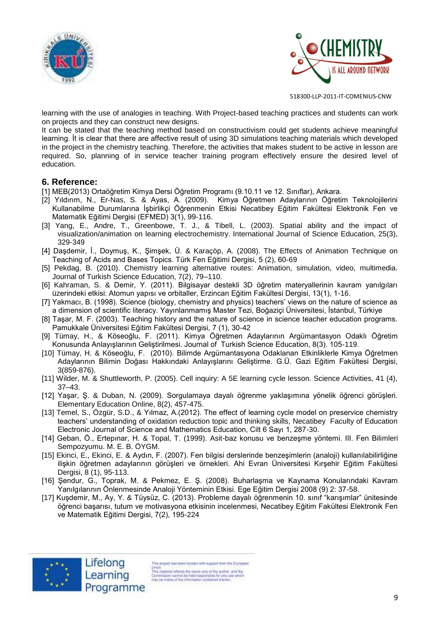



learning with the use of analogies in teaching. With Project-based teaching practices and students can work on projects and they can construct new designs.

It can be stated that the teaching method based on constructivism could get students achieve meaningful learning. İt is clear that there are affective result of using 3D simulations teaching materials which developed in the project in the chemistry teaching. Therefore, the activities that makes student to be active in lesson are required. So, planning of in service teacher training program effectively ensure the desired level of education.

## **6. Reference:**

- [1] MEB(2013) Ortaöğretim Kimya Dersi Öğretim Programı (9.10.11 ve 12. Sınıflar), Ankara.
- [2] Yıldırım, N., Er-Nas, S. & Ayas, A. (2009). Kimya Öğretmen Adaylarının Öğretim Teknolojilerini Kullanabilme Durumlarına İşbirlikçi Öğrenmenin Etkisi Necatibey Eğitim Fakültesi Elektronik Fen ve Matematik Eğitimi Dergisi (EFMED) 3(1), 99-116.
- [3] Yang, E., Andre, T., Greenbowe, T. J., & Tibell, L. (2003). Spatial ability and the impact of visualization/animation on learning electrochemistry. International Journal of Science Education, 25(3), 329-349
- [4] Daşdemir, İ., Doymuş, K., Şimşek, Ü. & Karaçöp, A. (2008). The Effects of Animation Technique on Teaching of Acids and Bases Topics. Türk Fen Eğitimi Dergisi, 5 (2), 60-69
- [5] Pekdag, B. (2010). Chemistry learning alternative routes: Animation, simulation, video, multimedia. Journal of Turkish Science Education, 7(2), 79–110.
- [6] Kahraman, S. & Demir, Y. (2011). Bilgisayar destekli 3D öğretim materyallerinin kavram yanılgıları üzerindeki etkisi: Atomun yapısı ve orbitaller, Erzincan Eğitim Fakültesi Dergisi, 13(1), 1-16.
- [7] Yakmacı, B. (1998). Science (biology, chemistry and physics) teachers' views on the nature of science as a dimension of scientific literacy. Yayınlanmamış Master Tezi, Boğaziçi Üniversitesi, İstanbul, Türkiye
- [8] Taşar, M. F. (2003). Teaching history and the nature of science in science teacher education programs. Pamukkale Üniversitesi Eğitim Fakültesi Dergisi, 7 (1), 30-42
- [9] Tümay, H., & Köseoğlu, F. (2011). Kimya Öğretmen Adaylarının Argümantasyon Odaklı Öğretim Konusunda Anlayışlarının Geliştirilmesi. Journal of Turkish Science Education, 8(3). 105-119.
- [10] Tümay, H. & Köseoğlu, F. (2010). Bilimde Argümantasyona Odaklanan Etkinliklerle Kimya Öğretmen Adaylarının Bilimin Doğası Hakkındaki Anlayışlarını Geliştirme. G.Ü. Gazi Eğitim Fakültesi Dergisi, 3(859-876).
- [11] Wilder, M. & Shuttleworth, P. (2005). Cell inquiry: A 5E learning cycle lesson. Science Activities, 41 (4), 37–43.
- [12] Yaşar, Ş. & Duban, N. (2009). Sorgulamaya dayalı öğrenme yaklaşımına yönelik öğrenci görüşleri. Elementary Education Online, 8(2), 457-475.
- [13] Temel, S., Özgür, S.D., & Yılmaz, A.(2012). The effect of learning cycle model on preservice chemistry teachers' understanding of oxidation reduction topic and thinking skills, Necatibey Faculty of Education Electronic Journal of Science and Mathematics Education, Cilt 6 Sayı 1, 287-30.
- [14] Geban, Ö., Ertepınar, H. & Topal, T. (1999). Asit-baz konusu ve benzeşme yöntemi. III. Fen Bilimleri Sempozyumu. M. E. B. ÖYGM.
- [15] Ekinci, E., Ekinci, E. & Aydın, F. (2007). Fen bilgisi derslerinde benzeşimlerin (analoji) kullanılabilirliğine ilişkin öğretmen adaylarının görüşleri ve örnekleri. Ahi Evran Üniversitesi Kırşehir Eğitim Fakültesi Dergisi, 8 (1), 95-113.
- [16] Şendur, G., Toprak, M. & Pekmez, E. Ş. (2008). Buharlaşma ve Kaynama Konularındaki Kavram Yanılgılarının Önlenmesinde Analoji Yönteminin Etkisi. Ege Eğitim Dergisi 2008 (9) 2: 37-58.
- [17] Kuşdemir, M., Ay, Y. & Tüysüz, C. (2013). Probleme dayalı öğrenmenin 10. sınıf "karışımlar" ünitesinde öğrenci başarısı, tutum ve motivasyona etkisinin incelenmesi, Necatibey Eğitim Fakültesi Elektronik Fen ve Matematik Eğitimi Dergisi, 7(2), 195-224



Lifelong

Learning

Programme